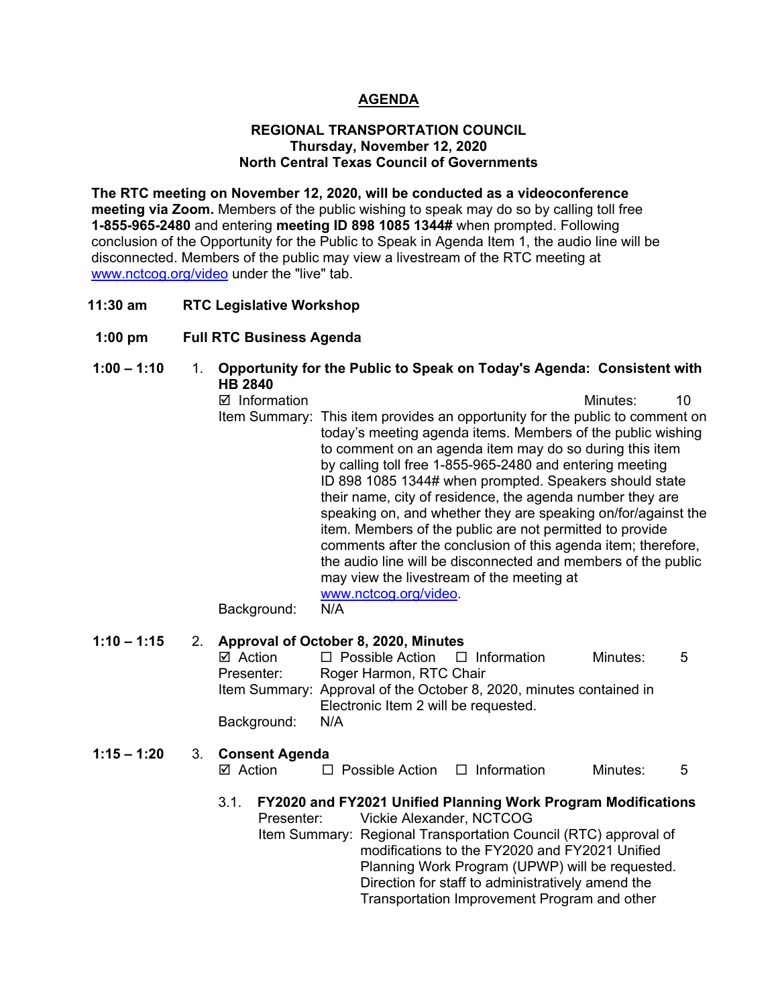#### **AGENDA**

#### **REGIONAL TRANSPORTATION COUNCIL Thursday, November 12, 2020 North Central Texas Council of Governments**

**The RTC meeting on November 12, 2020, will be conducted as a videoconference meeting via Zoom.** Members of the public wishing to speak may do so by calling toll free **1-855-965-2480** and entering **meeting ID 898 1085 1344#** when prompted. Following conclusion of the Opportunity for the Public to Speak in Agenda Item 1, the audio line will be disconnected. Members of the public may view a livestream of the RTC meeting at [www.nctcog.org/video](http://www.nctcog.org/video) under the "live" tab.

- **11:30 am RTC Legislative Workshop**
- **1:00 pm Full RTC Business Agenda**
- **1:00 – 1:10** 1. **Opportunity for the Public to Speak on Today's Agenda: Consistent with HB 2840**  ■ Information and The Contract of Minutes: 10 Item Summary: This item provides an opportunity for the public to comment on today's meeting agenda items. Members of the public wishing to comment on an agenda item may do so during this item by calling toll free 1-855-965-2480 and entering meeting ID 898 1085 1344# when prompted. Speakers should state their name, city of residence, the agenda number they are speaking on, and whether they are speaking on/for/against the item. Members of the public are not permitted to provide comments after the conclusion of this agenda item; therefore, the audio line will be disconnected and members of the public may view the livestream of the meeting at [www.nctcog.org/video.](http://www.nctcog.org/video)<br>N/A Background:

### **1:10 – 1:15** 2. **Approval of October 8, 2020, Minutes**

 $\Box$  Possible Action  $\Box$  Information Minutes: 5 Presenter: Roger Harmon, RTC Chair Item Summary: Approval of the October 8, 2020, minutes contained in Electronic Item 2 will be requested. Background: N/A

#### **1:15 – 1:20** 3. **Consent Agenda**

 $\boxtimes$  Action  $\square$  Possible Action  $\square$  Information Minutes: 5

#### 3.1. **FY2020 and FY2021 Unified Planning Work Program Modifications**

Presenter: Vickie Alexander, NCTCOG Item Summary: Regional Transportation Council (RTC) approval of modifications to the FY2020 and FY2021 Unified Planning Work Program (UPWP) will be requested. Direction for staff to administratively amend the Transportation Improvement Program and other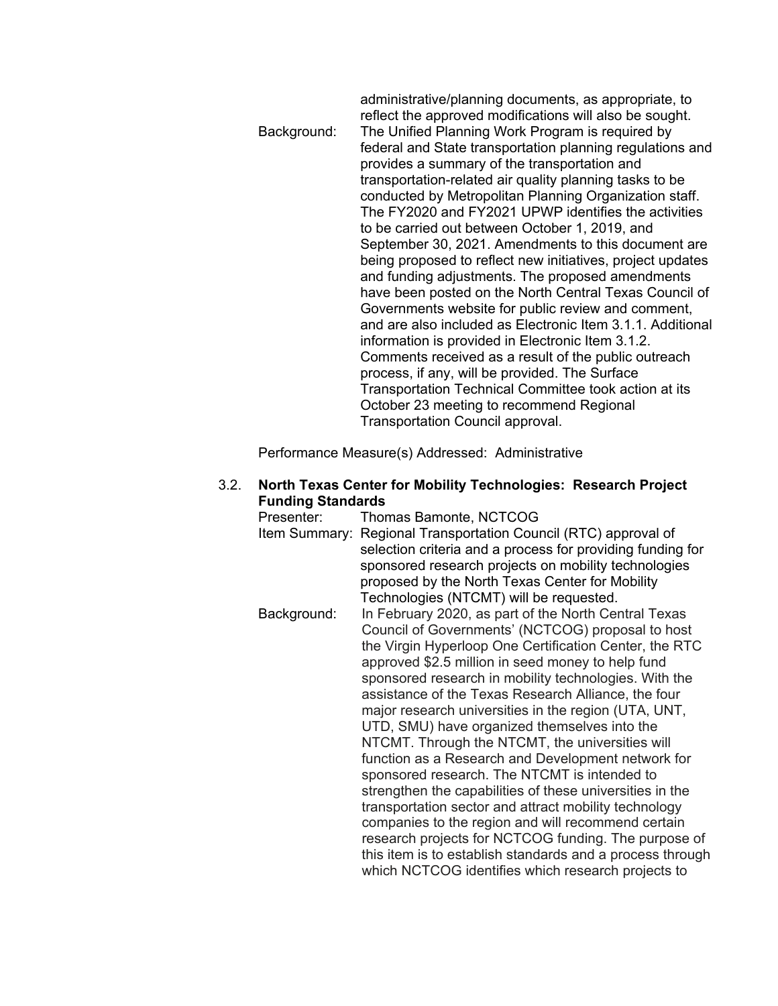#### administrative/planning documents, as appropriate, to reflect the approved modifications will also be sought. Background: The Unified Planning Work Program is required by federal and State transportation planning regulations and provides a summary of the transportation and transportation-related air quality planning tasks to be conducted by Metropolitan Planning Organization staff. The FY2020 and FY2021 UPWP identifies the activities to be carried out between October 1, 2019, and September 30, 2021. Amendments to this document are being proposed to reflect new initiatives, project updates and funding adjustments. The proposed amendments have been posted on the North Central Texas Council of Governments website for public review and comment, and are also included as Electronic Item 3.1.1. Additional information is provided in Electronic Item 3.1.2. Comments received as a result of the public outreach process, if any, will be provided. The Surface Transportation Technical Committee took action at its October 23 meeting to recommend Regional Transportation Council approval.

Performance Measure(s) Addressed: Administrative

### 3.2. **North Texas Center for Mobility Technologies: Research Project Funding Standards**

Thomas Bamonte, NCTCOG Item Summary: Regional Transportation Council (RTC) approval of selection criteria and a process for providing funding for sponsored research projects on mobility technologies proposed by the North Texas Center for Mobility Technologies (NTCMT) will be requested. Background: In February 2020, as part of the North Central Texas Council of Governments' (NCTCOG) proposal to host the Virgin Hyperloop One Certification Center, the RTC approved \$2.5 million in seed money to help fund sponsored research in mobility technologies. With the assistance of the Texas Research Alliance, the four major research universities in the region (UTA, UNT, UTD, SMU) have organized themselves into the NTCMT. Through the NTCMT, the universities will function as a Research and Development network for sponsored research. The NTCMT is intended to strengthen the capabilities of these universities in the transportation sector and attract mobility technology companies to the region and will recommend certain research projects for NCTCOG funding. The purpose of this item is to establish standards and a process through which NCTCOG identifies which research projects to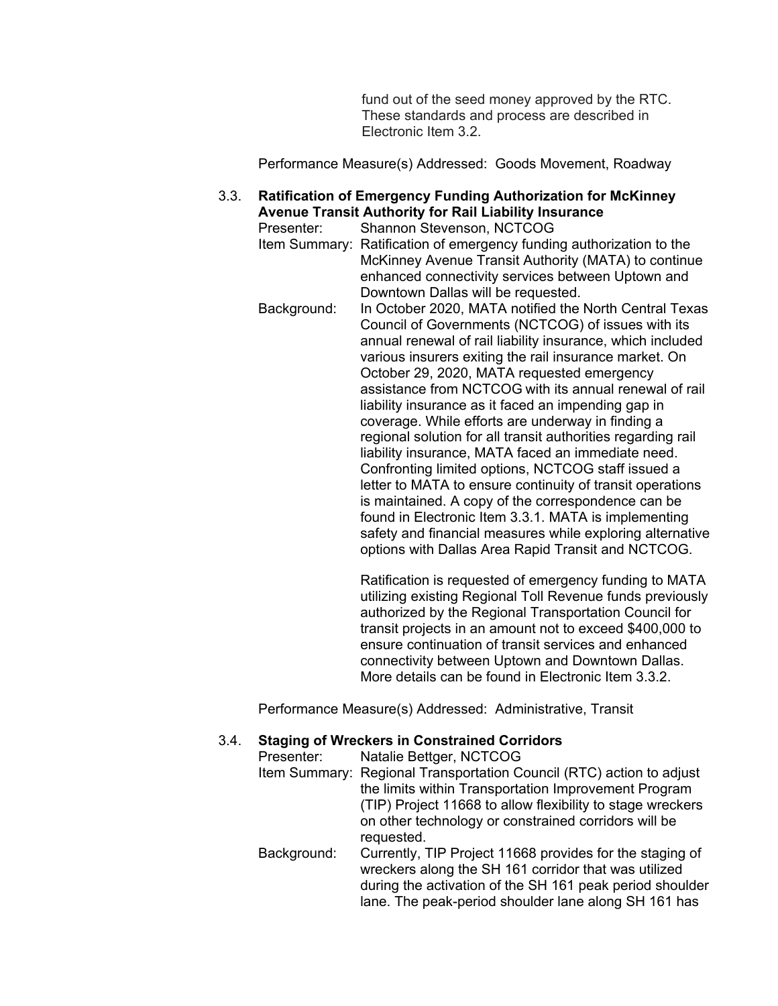fund out of the seed money approved by the RTC. These standards and process are described in Electronic Item 3.2.

Performance Measure(s) Addressed: Goods Movement, Roadway

#### 3.3. **Ratification of Emergency Funding Authorization for McKinney Avenue Transit Authority for Rail Liability Insurance**

Presenter: Shannon Stevenson, NCTCOG Item Summary: Ratification of emergency funding authorization to the McKinney Avenue Transit Authority (MATA) to continue enhanced connectivity services between Uptown and Downtown Dallas will be requested. Background: In October 2020, MATA notified the North Central Texas Council of Governments (NCTCOG) of issues with its annual renewal of rail liability insurance, which included various insurers exiting the rail insurance market. On October 29, 2020, MATA requested emergency assistance from NCTCOG with its annual renewal of rail liability insurance as it faced an impending gap in coverage. While efforts are underway in finding a regional solution for all transit authorities regarding rail liability insurance, MATA faced an immediate need. Confronting limited options, NCTCOG staff issued a letter to MATA to ensure continuity of transit operations is maintained. A copy of the correspondence can be found in Electronic Item 3.3.1. MATA is implementing safety and financial measures while exploring alternative options with Dallas Area Rapid Transit and NCTCOG.

> Ratification is requested of emergency funding to MATA utilizing existing Regional Toll Revenue funds previously authorized by the Regional Transportation Council for transit projects in an amount not to exceed \$400,000 to ensure continuation of transit services and enhanced connectivity between Uptown and Downtown Dallas. More details can be found in Electronic Item 3.3.2.

Performance Measure(s) Addressed: Administrative, Transit

#### 3.4. **Staging of Wreckers in Constrained Corridors**

| Presenter:  | Natalie Bettger, NCTCOG                                              |
|-------------|----------------------------------------------------------------------|
|             | Item Summary: Regional Transportation Council (RTC) action to adjust |
|             | the limits within Transportation Improvement Program                 |
|             | (TIP) Project 11668 to allow flexibility to stage wreckers           |
|             | on other technology or constrained corridors will be                 |
|             | requested.                                                           |
| Background: | Currently, TIP Project 11668 provides for the staging of             |
|             | wreckers along the SH 161 corridor that was utilized                 |
|             | during the activation of the SH 161 peak period shoulder             |
|             | lane. The peak-period shoulder lane along SH 161 has                 |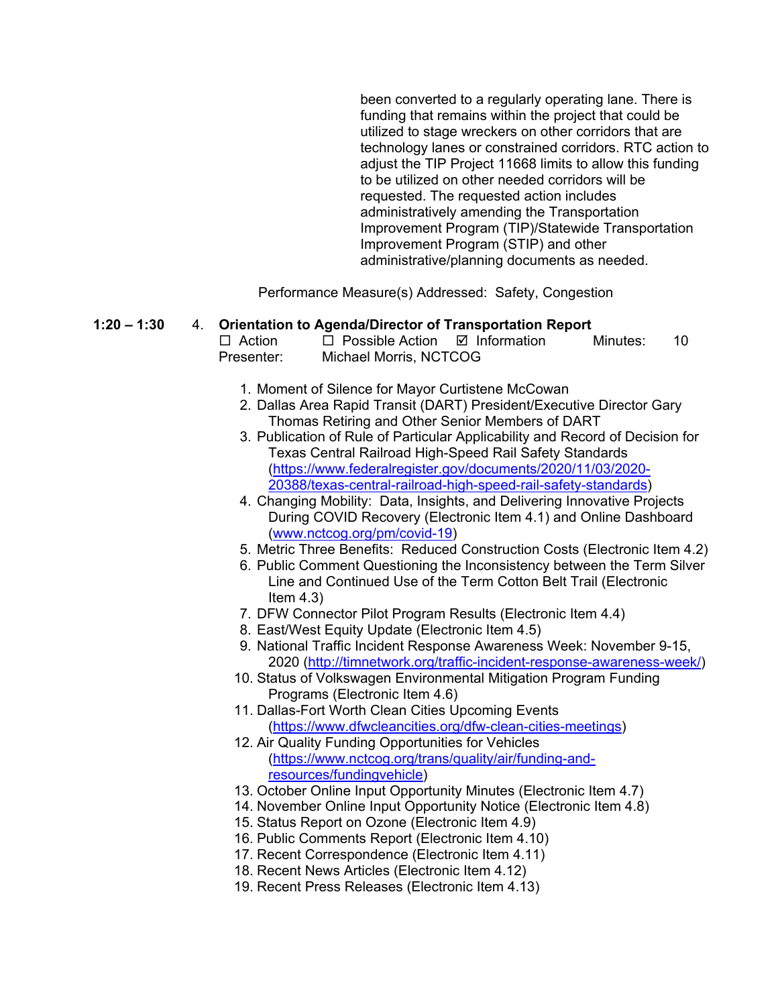been converted to a regularly operating lane. There is funding that remains within the project that could be utilized to stage wreckers on other corridors that are technology lanes or constrained corridors. RTC action to adjust the TIP Project 11668 limits to allow this funding to be utilized on other needed corridors will be requested. The requested action includes administratively amending the Transportation Improvement Program (TIP)/Statewide Transportation Improvement Program (STIP) and other administrative/planning documents as needed.

Performance Measure(s) Addressed: Safety, Congestion

#### **1:20 – 1:30** 4. **Orientation to Agenda/Director of Transportation Report**

 $\Box$  Action  $\Box$  Possible Action  $\Box$  Information Minutes: 10 Presenter: Michael Morris, NCTCOG

- 1. Moment of Silence for Mayor Curtistene McCowan
- 2. Dallas Area Rapid Transit (DART) President/Executive Director Gary Thomas Retiring and Other Senior Members of DART
- 3. Publication of Rule of Particular Applicability and Record of Decision for Texas Central Railroad High-Speed Rail Safety Standards [\(https://www.federalregister.gov/documents/2020/11/03/2020-](https://www.federalregister.gov/documents/2020/11/03/2020-20388/texas-central-railroad-high-speed-rail-safety-standards) [20388/texas-central-railroad-high-speed-rail-safety-standards\)](https://www.federalregister.gov/documents/2020/11/03/2020-20388/texas-central-railroad-high-speed-rail-safety-standards)
- 4. Changing Mobility: Data, Insights, and Delivering Innovative Projects During COVID Recovery (Electronic Item 4.1) and Online Dashboard [\(www.nctcog.org/pm/covid-19\)](http://www.nctcog.org/pm/covid-19)
- 5. Metric Three Benefits: Reduced Construction Costs (Electronic Item 4.2)
- 6. Public Comment Questioning the Inconsistency between the Term Silver Line and Continued Use of the Term Cotton Belt Trail (Electronic Item 4.3)
- 7. DFW Connector Pilot Program Results (Electronic Item 4.4)
- 8. East/West Equity Update (Electronic Item 4.5)
- 9. National Traffic Incident Response Awareness Week: November 9-15, 2020 [\(http://timnetwork.org/traffic-incident-response-awareness-week/\)](http://timnetwork.org/traffic-incident-response-awareness-week/)
- 10. Status of Volkswagen Environmental Mitigation Program Funding Programs (Electronic Item 4.6)
- 11. Dallas-Fort Worth Clean Cities Upcoming Events [\(https://www.dfwcleancities.org/dfw-clean-cities-meetings\)](https://www.dfwcleancities.org/dfw-clean-cities-meetings)
- 12. Air Quality Funding Opportunities for Vehicles [\(https://www.nctcog.org/trans/quality/air/funding-and](https://www.nctcog.org/trans/quality/air/funding-and-resources/fundingvehicle)[resources/fundingvehicle\)](https://www.nctcog.org/trans/quality/air/funding-and-resources/fundingvehicle)
- 13. October Online Input Opportunity Minutes (Electronic Item 4.7)
- 14. November Online Input Opportunity Notice (Electronic Item 4.8)
- 15. Status Report on Ozone (Electronic Item 4.9)
- 16. Public Comments Report (Electronic Item 4.10)
- 17. Recent Correspondence (Electronic Item 4.11)
- 18. Recent News Articles (Electronic Item 4.12)
- 19. Recent Press Releases (Electronic Item 4.13)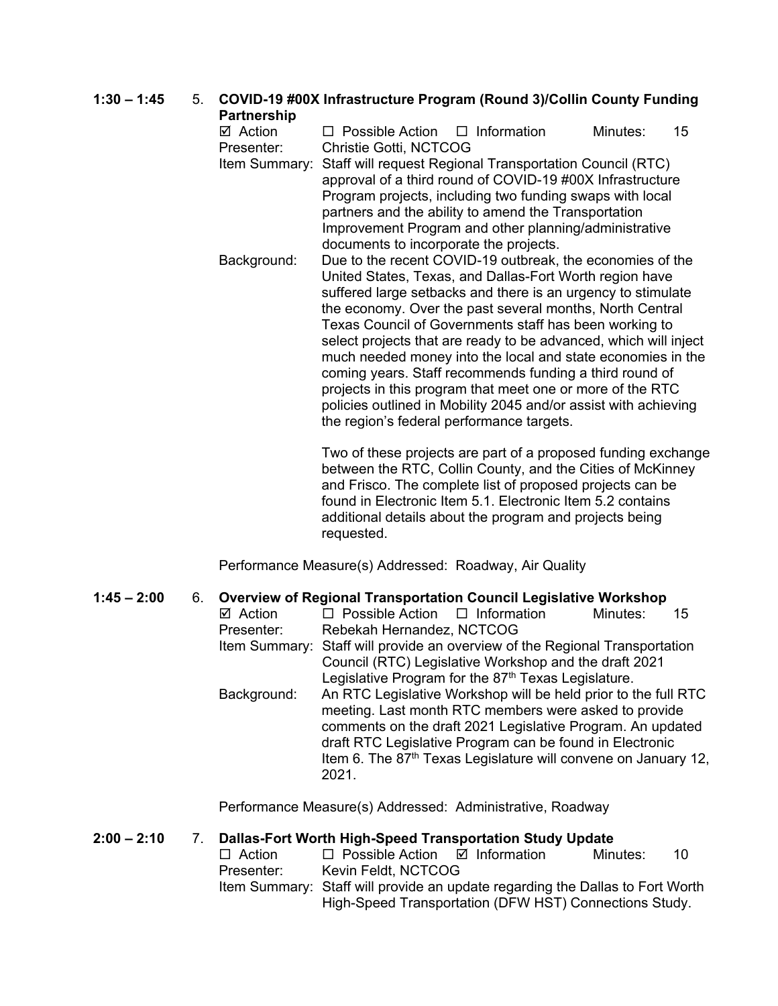#### **1:30 – 1:45** 5. **COVID-19 #00X Infrastructure Program (Round 3)/Collin County Funding Partnership**  $\boxtimes$  Action  $\Box$  Possible Action  $\Box$  Information Minutes: 15 Presenter: Christie Gotti, NCTCOG Item Summary: Staff will request Regional Transportation Council (RTC) approval of a third round of COVID-19 #00X Infrastructure Program projects, including two funding swaps with local partners and the ability to amend the Transportation Improvement Program and other planning/administrative documents to incorporate the projects. Background: Due to the recent COVID-19 outbreak, the economies of the United States, Texas, and Dallas-Fort Worth region have suffered large setbacks and there is an urgency to stimulate the economy. Over the past several months, North Central Texas Council of Governments staff has been working to select projects that are ready to be advanced, which will inject much needed money into the local and state economies in the coming years. Staff recommends funding a third round of projects in this program that meet one or more of the RTC

Two of these projects are part of a proposed funding exchange between the RTC, Collin County, and the Cities of McKinney and Frisco. The complete list of proposed projects can be found in Electronic Item 5.1. Electronic Item 5.2 contains additional details about the program and projects being requested.

policies outlined in Mobility 2045 and/or assist with achieving

the region's federal performance targets.

Performance Measure(s) Addressed: Roadway, Air Quality

### **1:45 – 2:00** 6. **Overview of Regional Transportation Council Legislative Workshop**

| $\boxtimes$ Action | $\Box$ Possible Action $\Box$ Information                                   |                                                                            | Minutes: | 15 |  |
|--------------------|-----------------------------------------------------------------------------|----------------------------------------------------------------------------|----------|----|--|
| Presenter:         | Rebekah Hernandez, NCTCOG                                                   |                                                                            |          |    |  |
|                    | Item Summary: Staff will provide an overview of the Regional Transportation |                                                                            |          |    |  |
|                    |                                                                             | Council (RTC) Legislative Workshop and the draft 2021                      |          |    |  |
|                    |                                                                             | Legislative Program for the 87 <sup>th</sup> Texas Legislature.            |          |    |  |
| Background:        |                                                                             | An RTC Legislative Workshop will be held prior to the full RTC             |          |    |  |
|                    |                                                                             | meeting. Last month RTC members were asked to provide                      |          |    |  |
|                    |                                                                             | comments on the draft 2021 Legislative Program. An updated                 |          |    |  |
|                    |                                                                             | draft RTC Legislative Program can be found in Electronic                   |          |    |  |
|                    |                                                                             | Item 6. The 87 <sup>th</sup> Texas Legislature will convene on January 12, |          |    |  |
|                    | 2021.                                                                       |                                                                            |          |    |  |

Performance Measure(s) Addressed: Administrative, Roadway

### **2:00 – 2:10** 7. **Dallas-Fort Worth High-Speed Transportation Study Update**

 $\Box$  Possible Action  $\Box$  Information Minutes: 10 Presenter: Kevin Feldt, NCTCOG Item Summary: Staff will provide an update regarding the Dallas to Fort Worth High-Speed Transportation (DFW HST) Connections Study.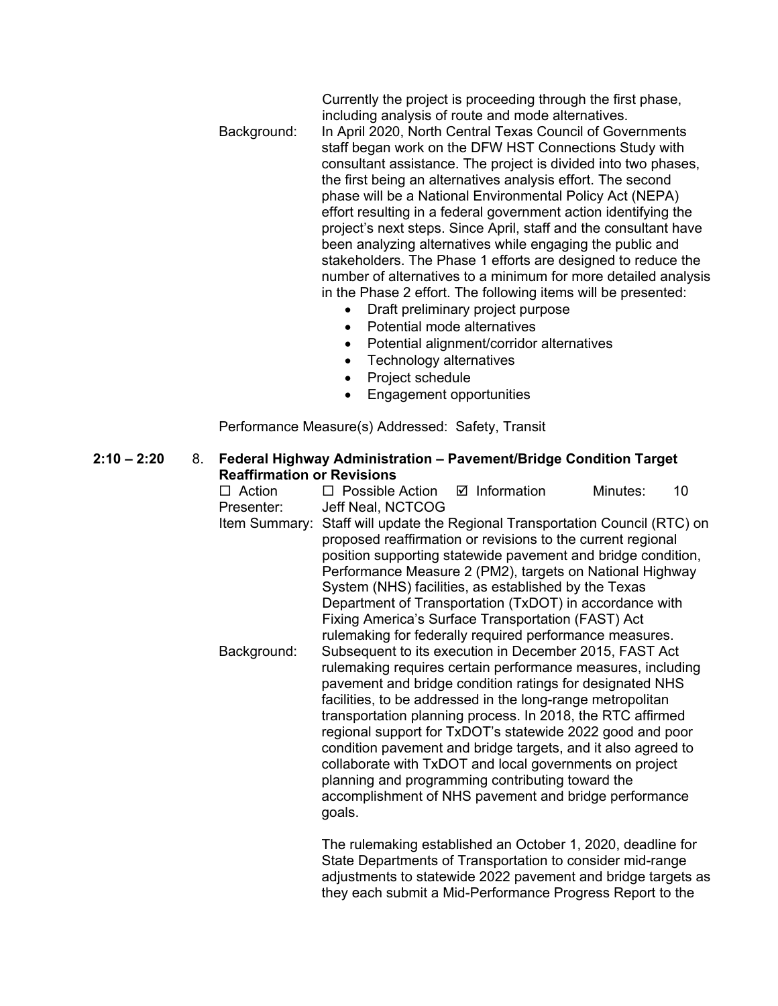Currently the project is proceeding through the first phase, including analysis of route and mode alternatives. Background: In April 2020, North Central Texas Council of Governments staff began work on the DFW HST Connections Study with consultant assistance. The project is divided into two phases, the first being an alternatives analysis effort. The second phase will be a National Environmental Policy Act (NEPA)

> effort resulting in a federal government action identifying the project's next steps. Since April, staff and the consultant have been analyzing alternatives while engaging the public and stakeholders. The Phase 1 efforts are designed to reduce the number of alternatives to a minimum for more detailed analysis in the Phase 2 effort. The following items will be presented:

they each submit a Mid-Performance Progress Report to the

- Draft preliminary project purpose
- Potential mode alternatives
- Potential alignment/corridor alternatives
- Technology alternatives
- Project schedule
- Engagement opportunities

Performance Measure(s) Addressed: Safety, Transit

**2:10 – 2:20** 8. **Federal Highway Administration – Pavement/Bridge Condition Target Reaffirmation or Revisions**<br>□ Action □ Possible  $\Box$  Possible Action  $\Box$  Information Minutes: 10 Presenter: Jeff Neal, NCTCOG Item Summary: Staff will update the Regional Transportation Council (RTC) on proposed reaffirmation or revisions to the current regional position supporting statewide pavement and bridge condition, Performance Measure 2 (PM2), targets on National Highway System (NHS) facilities, as established by the Texas Department of Transportation (TxDOT) in accordance with Fixing America's Surface Transportation (FAST) Act rulemaking for federally required performance measures. Background: Subsequent to its execution in December 2015, FAST Act rulemaking requires certain performance measures, including pavement and bridge condition ratings for designated NHS facilities, to be addressed in the long-range metropolitan transportation planning process. In 2018, the RTC affirmed regional support for TxDOT's statewide 2022 good and poor condition pavement and bridge targets, and it also agreed to collaborate with TxDOT and local governments on project planning and programming contributing toward the accomplishment of NHS pavement and bridge performance goals. The rulemaking established an October 1, 2020, deadline for State Departments of Transportation to consider mid-range adjustments to statewide 2022 pavement and bridge targets as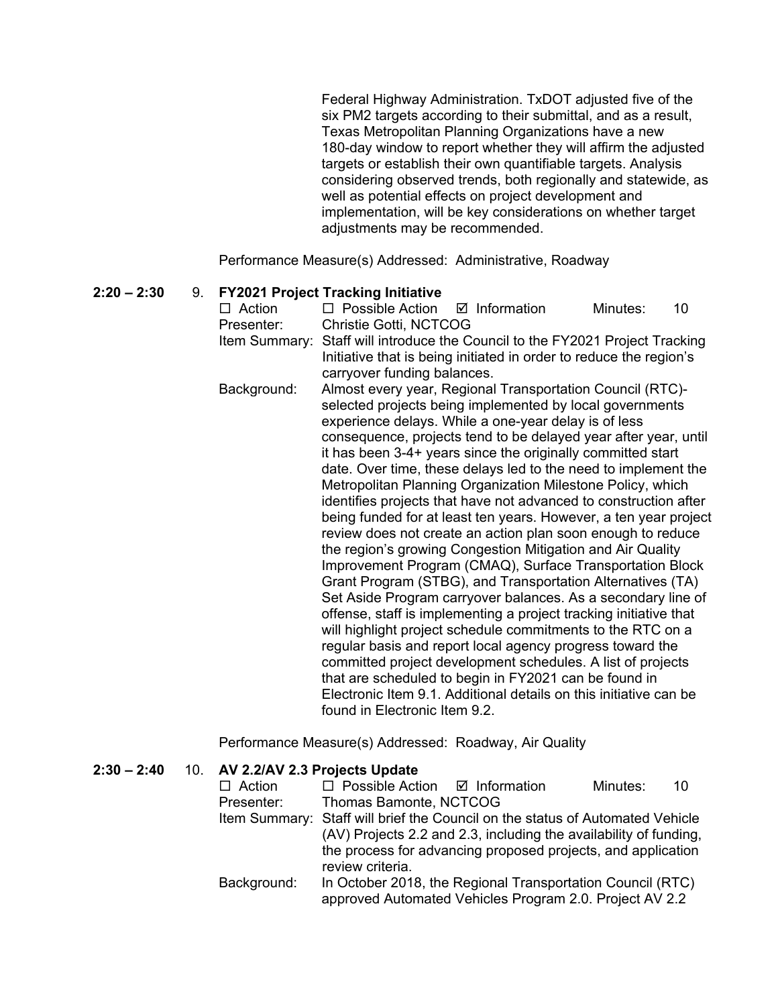Federal Highway Administration. TxDOT adjusted five of the six PM2 targets according to their submittal, and as a result, Texas Metropolitan Planning Organizations have a new 180-day window to report whether they will affirm the adjusted targets or establish their own quantifiable targets. Analysis considering observed trends, both regionally and statewide, as well as potential effects on project development and implementation, will be key considerations on whether target adjustments may be recommended.

Performance Measure(s) Addressed: Administrative, Roadway

# **2:20 – 2:30** 9. **FY2021 Project Tracking Initiative**

 $\Box$  Possible Action  $\Box$  Information Minutes: 10 Presenter: Christie Gotti, NCTCOG Item Summary: Staff will introduce the Council to the FY2021 Project Tracking Initiative that is being initiated in order to reduce the region's carryover funding balances. Background: Almost every year, Regional Transportation Council (RTC) selected projects being implemented by local governments experience delays. While a one-year delay is of less consequence, projects tend to be delayed year after year, until it has been 3-4+ years since the originally committed start date. Over time, these delays led to the need to implement the Metropolitan Planning Organization Milestone Policy, which identifies projects that have not advanced to construction after being funded for at least ten years. However, a ten year project review does not create an action plan soon enough to reduce the region's growing Congestion Mitigation and Air Quality Improvement Program (CMAQ), Surface Transportation Block Grant Program (STBG), and Transportation Alternatives (TA) Set Aside Program carryover balances. As a secondary line of offense, staff is implementing a project tracking initiative that will highlight project schedule commitments to the RTC on a regular basis and report local agency progress toward the committed project development schedules. A list of projects that are scheduled to begin in FY2021 can be found in Electronic Item 9.1. Additional details on this initiative can be found in Electronic Item 9.2.

Performance Measure(s) Addressed: Roadway, Air Quality

| $2:30 - 2:40$ |  | 10. AV 2.2/AV 2.3 Projects Update                                                |                                                                                                                       |  |          |    |  |
|---------------|--|----------------------------------------------------------------------------------|-----------------------------------------------------------------------------------------------------------------------|--|----------|----|--|
|               |  | $\Box$ Action                                                                    | $\Box$ Possible Action $\Box$ Information                                                                             |  | Minutes: | 10 |  |
|               |  | Presenter:                                                                       | Thomas Bamonte, NCTCOG                                                                                                |  |          |    |  |
|               |  |                                                                                  | Item Summary: Staff will brief the Council on the status of Automated Vehicle                                         |  |          |    |  |
|               |  |                                                                                  | (AV) Projects 2.2 and 2.3, including the availability of funding,                                                     |  |          |    |  |
|               |  | the process for advancing proposed projects, and application<br>review criteria. |                                                                                                                       |  |          |    |  |
|               |  | Background:                                                                      | In October 2018, the Regional Transportation Council (RTC)<br>approved Automated Vehicles Program 2.0. Project AV 2.2 |  |          |    |  |